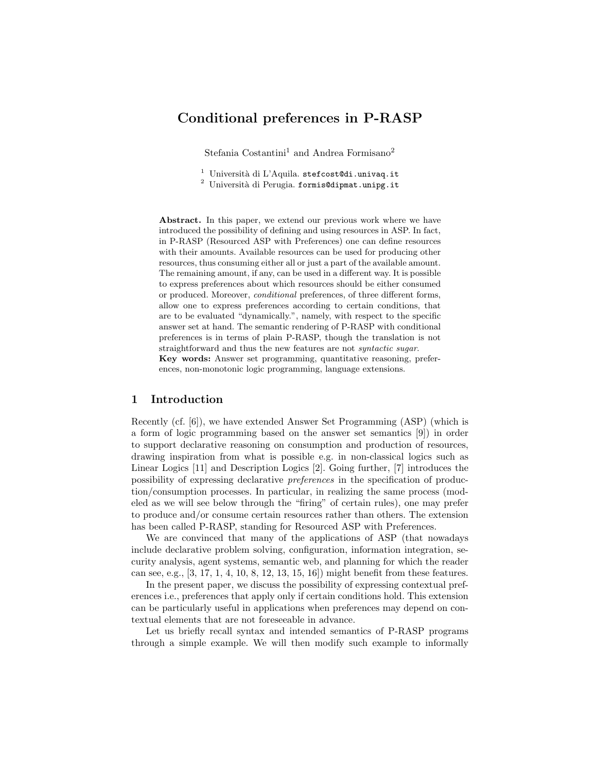# Conditional preferences in P-RASP

Stefania Costantini<sup>1</sup> and Andrea Formisano<sup>2</sup>

 $1$  Università di L'Aquila. stefcost@di.univaq.it

 $2$  Università di Perugia. formis@dipmat.unipg.it

Abstract. In this paper, we extend our previous work where we have introduced the possibility of defining and using resources in ASP. In fact, in P-RASP (Resourced ASP with Preferences) one can define resources with their amounts. Available resources can be used for producing other resources, thus consuming either all or just a part of the available amount. The remaining amount, if any, can be used in a different way. It is possible to express preferences about which resources should be either consumed or produced. Moreover, conditional preferences, of three different forms, allow one to express preferences according to certain conditions, that are to be evaluated "dynamically.", namely, with respect to the specific answer set at hand. The semantic rendering of P-RASP with conditional preferences is in terms of plain P-RASP, though the translation is not straightforward and thus the new features are not syntactic sugar. Key words: Answer set programming, quantitative reasoning, prefer-

ences, non-monotonic logic programming, language extensions.

# 1 Introduction

Recently (cf. [6]), we have extended Answer Set Programming (ASP) (which is a form of logic programming based on the answer set semantics [9]) in order to support declarative reasoning on consumption and production of resources, drawing inspiration from what is possible e.g. in non-classical logics such as Linear Logics [11] and Description Logics [2]. Going further, [7] introduces the possibility of expressing declarative preferences in the specification of production/consumption processes. In particular, in realizing the same process (modeled as we will see below through the "firing" of certain rules), one may prefer to produce and/or consume certain resources rather than others. The extension has been called P-RASP, standing for Resourced ASP with Preferences.

We are convinced that many of the applications of ASP (that nowadays include declarative problem solving, configuration, information integration, security analysis, agent systems, semantic web, and planning for which the reader can see, e.g., [3, 17, 1, 4, 10, 8, 12, 13, 15, 16]) might benefit from these features.

In the present paper, we discuss the possibility of expressing contextual preferences i.e., preferences that apply only if certain conditions hold. This extension can be particularly useful in applications when preferences may depend on contextual elements that are not foreseeable in advance.

Let us briefly recall syntax and intended semantics of P-RASP programs through a simple example. We will then modify such example to informally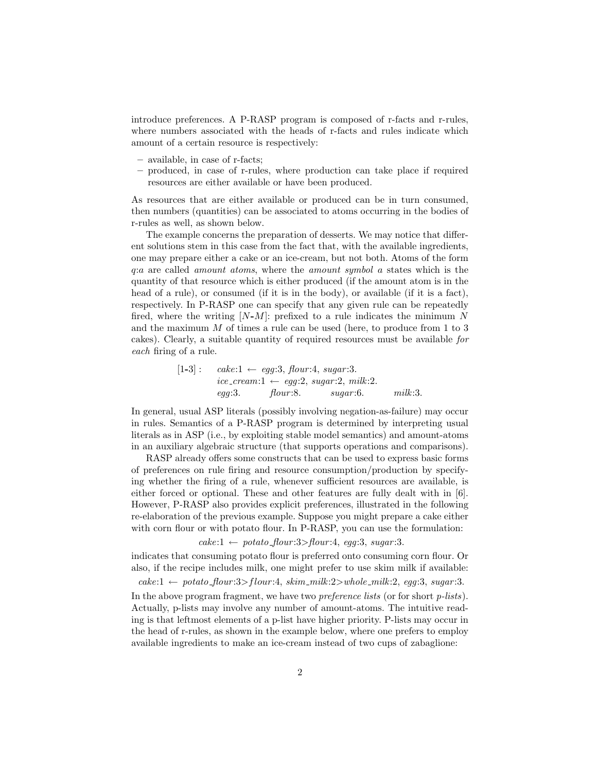introduce preferences. A P-RASP program is composed of r-facts and r-rules, where numbers associated with the heads of r-facts and rules indicate which amount of a certain resource is respectively:

- available, in case of r-facts;
- produced, in case of r-rules, where production can take place if required resources are either available or have been produced.

As resources that are either available or produced can be in turn consumed, then numbers (quantities) can be associated to atoms occurring in the bodies of r-rules as well, as shown below.

The example concerns the preparation of desserts. We may notice that different solutions stem in this case from the fact that, with the available ingredients, one may prepare either a cake or an ice-cream, but not both. Atoms of the form q:a are called amount atoms, where the amount symbol a states which is the quantity of that resource which is either produced (if the amount atom is in the head of a rule), or consumed (if it is in the body), or available (if it is a fact), respectively. In P-RASP one can specify that any given rule can be repeatedly fired, where the writing  $[N-M]$ : prefixed to a rule indicates the minimum N and the maximum M of times a rule can be used (here, to produce from 1 to 3 cakes). Clearly, a suitable quantity of required resources must be available for each firing of a rule.

$$
[1-3]: \quad\n \begin{aligned}\n \text{cake:} 1 \leftarrow \text{egg:3,} \text{ flour:4, sugar:3.} \\
\text{ice\_cream:1} \leftarrow \text{egg:2, sugar:2, milk:2.} \\
\text{egg:3.} \quad \text{four:8.} \quad \text{sugar:6.} \quad \text{milk:3.}\n \end{aligned}
$$

In general, usual ASP literals (possibly involving negation-as-failure) may occur in rules. Semantics of a P-RASP program is determined by interpreting usual literals as in ASP (i.e., by exploiting stable model semantics) and amount-atoms in an auxiliary algebraic structure (that supports operations and comparisons).

RASP already offers some constructs that can be used to express basic forms of preferences on rule firing and resource consumption/production by specifying whether the firing of a rule, whenever sufficient resources are available, is either forced or optional. These and other features are fully dealt with in [6]. However, P-RASP also provides explicit preferences, illustrated in the following re-elaboration of the previous example. Suppose you might prepare a cake either with corn flour or with potato flour. In P-RASP, you can use the formulation:

 $\text{cake:1} \leftarrow \text{potato\_floor:3>} \text{floor:4}, \text{egg:3}, \text{sugar:3}.$ 

indicates that consuming potato flour is preferred onto consuming corn flour. Or also, if the recipe includes milk, one might prefer to use skim milk if available:

 $\textit{cache}: 1 \leftarrow \textit{potato}\_\textit{four}: 3 > \textit{flow}: 4, \textit{skin}\_\textit{milk}: 2 > \textit{whole}\_\textit{milk}: 2, \textit{egg}: 3, \textit{sugar}: 3.$ 

In the above program fragment, we have two *preference lists* (or for short *p-lists*). Actually, p-lists may involve any number of amount-atoms. The intuitive reading is that leftmost elements of a p-list have higher priority. P-lists may occur in the head of r-rules, as shown in the example below, where one prefers to employ available ingredients to make an ice-cream instead of two cups of zabaglione: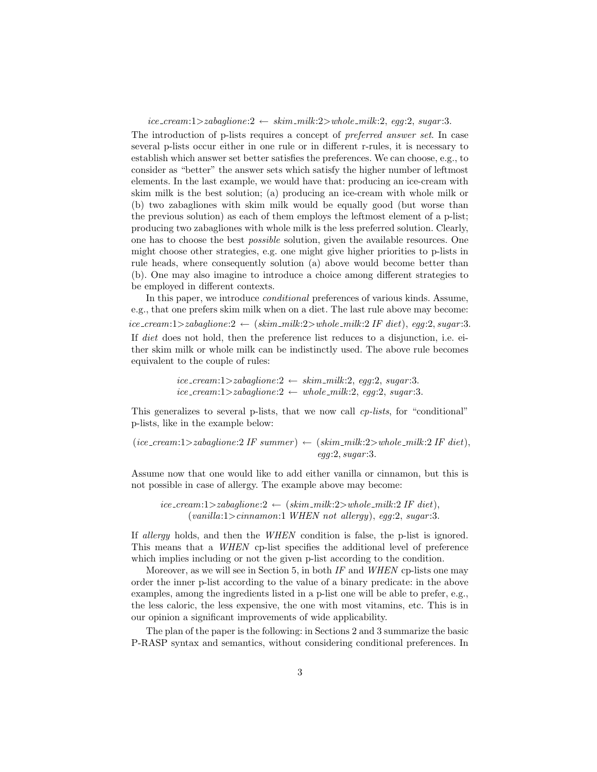$ice\_cream:1\geq zabaglione:2 \leftarrow skim\_milk:2\geq whole\_milk:2, egg:2, sugar:3.$ 

The introduction of p-lists requires a concept of preferred answer set. In case several p-lists occur either in one rule or in different r-rules, it is necessary to establish which answer set better satisfies the preferences. We can choose, e.g., to consider as "better" the answer sets which satisfy the higher number of leftmost elements. In the last example, we would have that: producing an ice-cream with skim milk is the best solution; (a) producing an ice-cream with whole milk or (b) two zabagliones with skim milk would be equally good (but worse than the previous solution) as each of them employs the leftmost element of a p-list; producing two zabagliones with whole milk is the less preferred solution. Clearly, one has to choose the best possible solution, given the available resources. One might choose other strategies, e.g. one might give higher priorities to p-lists in rule heads, where consequently solution (a) above would become better than (b). One may also imagine to introduce a choice among different strategies to be employed in different contexts.

In this paper, we introduce conditional preferences of various kinds. Assume, e.g., that one prefers skim milk when on a diet. The last rule above may become:  $\text{ice\_cream:} 1 > \text{zabaglione:} 2 \leftarrow (\text{skim\_milk:} 2 > \text{whole\_milk:} 2 \text{ IF } \text{ diet}), \text{ eqg:} 2, \text{sugar:} 3.$ If diet does not hold, then the preference list reduces to a disjunction, i.e. either skim milk or whole milk can be indistinctly used. The above rule becomes equivalent to the couple of rules:

> $ice\_cream:1>zabaglione:2 \leftarrow skim\_milk:2, egg:2, sugar:3.$  $ice\_cream:1>zabaglione:2 \leftarrow whole\_milk:2, egg:2, sugar:3.$

This generalizes to several p-lists, that we now call *cp-lists*, for "conditional" p-lists, like in the example below:

(*ice\_cream:1*>zabaglione:2 IF summer) 
$$
\leftarrow
$$
 (skim-milk:2>whole-milk:2 IF diet),  
egg:2, sugar:3.

Assume now that one would like to add either vanilla or cinnamon, but this is not possible in case of allergy. The example above may become:

 $ice\_cream:1\geq zabaglione:2 \leftarrow (skim\_milk:2\geq whole\_milk:2 IF\; diet),$  $(vanilla:1>cinnamon:1 \text{ WHEN not allergy}), eqg:2, sugar:3.$ 

If allergy holds, and then the WHEN condition is false, the p-list is ignored. This means that a *WHEN* cp-list specifies the additional level of preference which implies including or not the given p-list according to the condition.

Moreover, as we will see in Section 5, in both  $IF$  and  $WHER$  cp-lists one may order the inner p-list according to the value of a binary predicate: in the above examples, among the ingredients listed in a p-list one will be able to prefer, e.g., the less caloric, the less expensive, the one with most vitamins, etc. This is in our opinion a significant improvements of wide applicability.

The plan of the paper is the following: in Sections 2 and 3 summarize the basic P-RASP syntax and semantics, without considering conditional preferences. In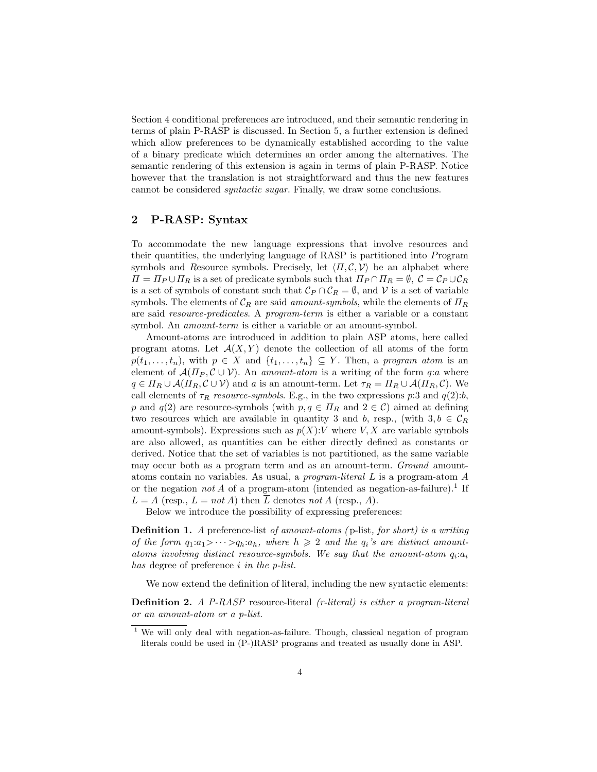Section 4 conditional preferences are introduced, and their semantic rendering in terms of plain P-RASP is discussed. In Section 5, a further extension is defined which allow preferences to be dynamically established according to the value of a binary predicate which determines an order among the alternatives. The semantic rendering of this extension is again in terms of plain P-RASP. Notice however that the translation is not straightforward and thus the new features cannot be considered syntactic sugar. Finally, we draw some conclusions.

# 2 P-RASP: Syntax

To accommodate the new language expressions that involve resources and their quantities, the underlying language of RASP is partitioned into Program symbols and Resource symbols. Precisely, let  $\langle \Pi, \mathcal{C}, \mathcal{V} \rangle$  be an alphabet where  $\Pi = \Pi_P \cup \Pi_R$  is a set of predicate symbols such that  $\Pi_P \cap \Pi_R = \emptyset$ ,  $C = C_P \cup C_R$ is a set of symbols of constant such that  $\mathcal{C}_P \cap \mathcal{C}_R = \emptyset$ , and  $\mathcal V$  is a set of variable symbols. The elements of  $C_R$  are said amount-symbols, while the elements of  $\Pi_R$ are said resource-predicates. A program-term is either a variable or a constant symbol. An *amount-term* is either a variable or an amount-symbol.

Amount-atoms are introduced in addition to plain ASP atoms, here called program atoms. Let  $\mathcal{A}(X, Y)$  denote the collection of all atoms of the form  $p(t_1, \ldots, t_n)$ , with  $p \in X$  and  $\{t_1, \ldots, t_n\} \subseteq Y$ . Then, a program atom is an element of  $\mathcal{A}(\Pi_P, \mathcal{C} \cup \mathcal{V})$ . An amount-atom is a writing of the form q:a where  $q \in \Pi_R \cup A(\Pi_R, \mathcal{C} \cup \mathcal{V})$  and a is an amount-term. Let  $\tau_R = \Pi_R \cup A(\Pi_R, \mathcal{C})$ . We call elements of  $\tau_R$  resource-symbols. E.g., in the two expressions p:3 and  $q(2):b$ , p and  $q(2)$  are resource-symbols (with  $p, q \in \Pi_R$  and  $2 \in \mathcal{C}$ ) aimed at defining two resources which are available in quantity 3 and b, resp., (with  $3, b \in C_R$ ) amount-symbols). Expressions such as  $p(X):V$  where  $V, X$  are variable symbols are also allowed, as quantities can be either directly defined as constants or derived. Notice that the set of variables is not partitioned, as the same variable may occur both as a program term and as an amount-term. Ground amountatoms contain no variables. As usual, a program-literal L is a program-atom A or the negation not A of a program-atom (intended as negation-as-failure).<sup>1</sup> If  $L = A$  (resp.,  $L = not A$ ) then L denotes not A (resp., A).

Below we introduce the possibility of expressing preferences:

Definition 1. A preference-list of amount-atoms (p-list, for short) is a writing of the form  $q_1: a_1 > \cdots > q_h: a_h$ , where  $h \geq 2$  and the  $q_i$ 's are distinct amountatoms involving distinct resource-symbols. We say that the amount-atom  $q_i:a_i$ has degree of preference *i* in the *p*-list.

We now extend the definition of literal, including the new syntactic elements:

Definition 2. A P-RASP resource-literal (r-literal) is either a program-literal or an amount-atom or a p-list.

<sup>1</sup> We will only deal with negation-as-failure. Though, classical negation of program literals could be used in (P-)RASP programs and treated as usually done in ASP.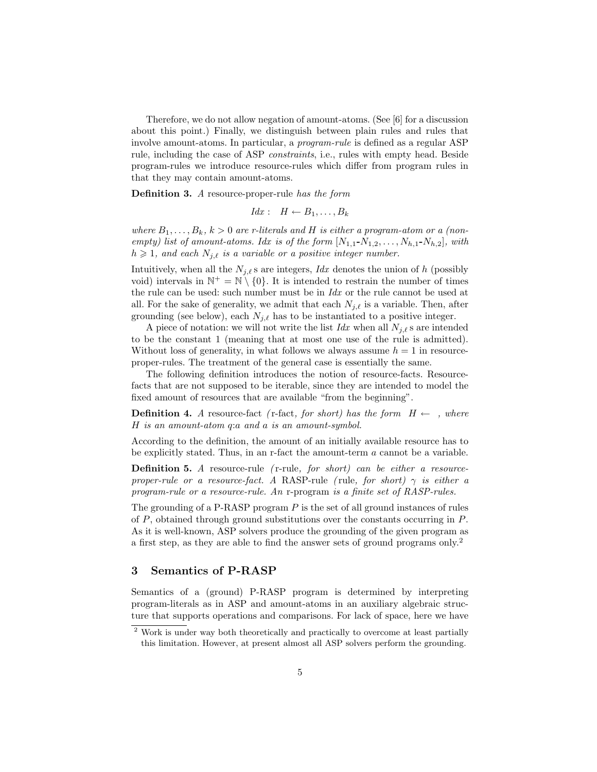Therefore, we do not allow negation of amount-atoms. (See [6] for a discussion about this point.) Finally, we distinguish between plain rules and rules that involve amount-atoms. In particular, a program-rule is defined as a regular ASP rule, including the case of ASP constraints, i.e., rules with empty head. Beside program-rules we introduce resource-rules which differ from program rules in that they may contain amount-atoms.

Definition 3. A resource-proper-rule has the form

$$
Idx: H \leftarrow B_1, \ldots, B_k
$$

where  $B_1, \ldots, B_k, k > 0$  are r-literals and H is either a program-atom or a (nonempty) list of amount-atoms. Idx is of the form  $[N_{1,1}-N_{1,2},\ldots,N_{h,1}-N_{h,2}]$ , with  $h \geq 1$ , and each  $N_{i,\ell}$  is a variable or a positive integer number.

Intuitively, when all the  $N_{j,\ell}$  s are integers, Idx denotes the union of h (possibly void) intervals in  $\mathbb{N}^+ = \mathbb{N} \setminus \{0\}$ . It is intended to restrain the number of times the rule can be used: such number must be in  $\text{Id}x$  or the rule cannot be used at all. For the sake of generality, we admit that each  $N_{j,\ell}$  is a variable. Then, after grounding (see below), each  $N_{j,\ell}$  has to be instantiated to a positive integer.

A piece of notation: we will not write the list Idx when all  $N_{i,\ell}$  s are intended to be the constant 1 (meaning that at most one use of the rule is admitted). Without loss of generality, in what follows we always assume  $h = 1$  in resourceproper-rules. The treatment of the general case is essentially the same.

The following definition introduces the notion of resource-facts. Resourcefacts that are not supposed to be iterable, since they are intended to model the fixed amount of resources that are available "from the beginning".

**Definition 4.** A resource-fact (r-fact, for short) has the form  $H \leftarrow \rho$ , where H is an amount-atom q:a and a is an amount-symbol.

According to the definition, the amount of an initially available resource has to be explicitly stated. Thus, in an r-fact the amount-term  $\alpha$  cannot be a variable.

Definition 5. A resource-rule (r-rule, for short) can be either a resourceproper-rule or a resource-fact. A RASP-rule (rule, for short)  $\gamma$  is either a program-rule or a resource-rule. An r-program is a finite set of RASP-rules.

The grounding of a P-RASP program  $P$  is the set of all ground instances of rules of P, obtained through ground substitutions over the constants occurring in P. As it is well-known, ASP solvers produce the grounding of the given program as a first step, as they are able to find the answer sets of ground programs only.<sup>2</sup>

#### 3 Semantics of P-RASP

Semantics of a (ground) P-RASP program is determined by interpreting program-literals as in ASP and amount-atoms in an auxiliary algebraic structure that supports operations and comparisons. For lack of space, here we have

<sup>&</sup>lt;sup>2</sup> Work is under way both theoretically and practically to overcome at least partially this limitation. However, at present almost all ASP solvers perform the grounding.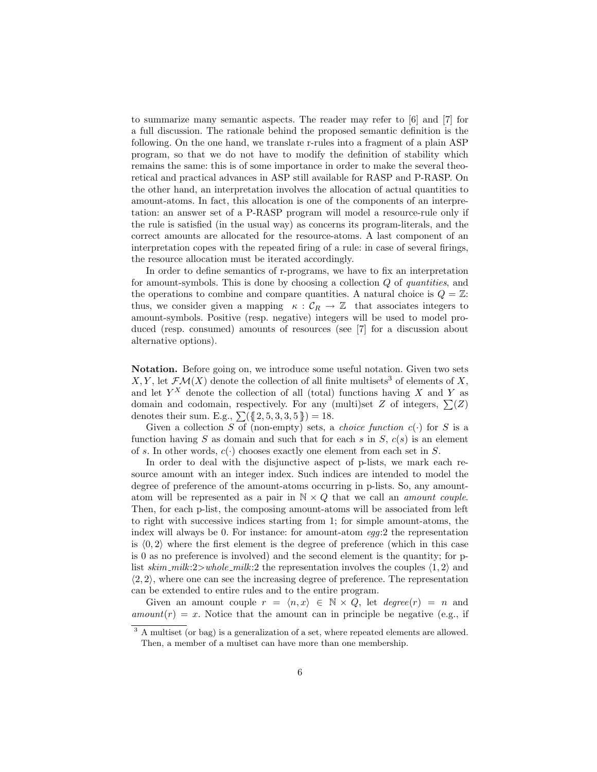to summarize many semantic aspects. The reader may refer to [6] and [7] for a full discussion. The rationale behind the proposed semantic definition is the following. On the one hand, we translate r-rules into a fragment of a plain ASP program, so that we do not have to modify the definition of stability which remains the same: this is of some importance in order to make the several theoretical and practical advances in ASP still available for RASP and P-RASP. On the other hand, an interpretation involves the allocation of actual quantities to amount-atoms. In fact, this allocation is one of the components of an interpretation: an answer set of a P-RASP program will model a resource-rule only if the rule is satisfied (in the usual way) as concerns its program-literals, and the correct amounts are allocated for the resource-atoms. A last component of an interpretation copes with the repeated firing of a rule: in case of several firings, the resource allocation must be iterated accordingly.

In order to define semantics of r-programs, we have to fix an interpretation for amount-symbols. This is done by choosing a collection Q of quantities, and the operations to combine and compare quantities. A natural choice is  $Q = \mathbb{Z}$ : thus, we consider given a mapping  $\kappa : \mathcal{C}_R \to \mathbb{Z}$  that associates integers to amount-symbols. Positive (resp. negative) integers will be used to model produced (resp. consumed) amounts of resources (see [7] for a discussion about alternative options).

Notation. Before going on, we introduce some useful notation. Given two sets X, Y, let  $\mathcal{F}\mathcal{M}(X)$  denote the collection of all finite multisets<sup>3</sup> of elements of X, and let  $Y^X$  denote the collection of all (total) functions having X and Y as domain and codomain, respectively. For any (multi)set Z of integers,  $\Sigma(Z)$ denotes their sum. E.g.,  $\sum({1, 5, 3, 3, 5}) = 18$ .

Given a collection S of (non-empty) sets, a *choice function*  $c(\cdot)$  for S is a function having S as domain and such that for each s in  $S$ ,  $c(s)$  is an element of s. In other words,  $c(\cdot)$  chooses exactly one element from each set in S.

In order to deal with the disjunctive aspect of p-lists, we mark each resource amount with an integer index. Such indices are intended to model the degree of preference of the amount-atoms occurring in p-lists. So, any amountatom will be represented as a pair in  $N \times Q$  that we call an *amount couple*. Then, for each p-list, the composing amount-atoms will be associated from left to right with successive indices starting from 1; for simple amount-atoms, the index will always be 0. For instance: for amount-atom egg:2 the representation is  $\langle 0, 2 \rangle$  where the first element is the degree of preference (which in this case is 0 as no preference is involved) and the second element is the quantity; for plist skim\_milk:2>whole\_milk:2 the representation involves the couples  $\langle 1, 2 \rangle$  and  $\langle 2, 2 \rangle$ , where one can see the increasing degree of preference. The representation can be extended to entire rules and to the entire program.

Given an amount couple  $r = \langle n, x \rangle \in \mathbb{N} \times Q$ , let  $degree(r) = n$  and  $amount(r) = x$ . Notice that the amount can in principle be negative (e.g., if

 $3 \text{ A multiset (or bag) is a generalization of a set, where repeated elements are allowed.}$ Then, a member of a multiset can have more than one membership.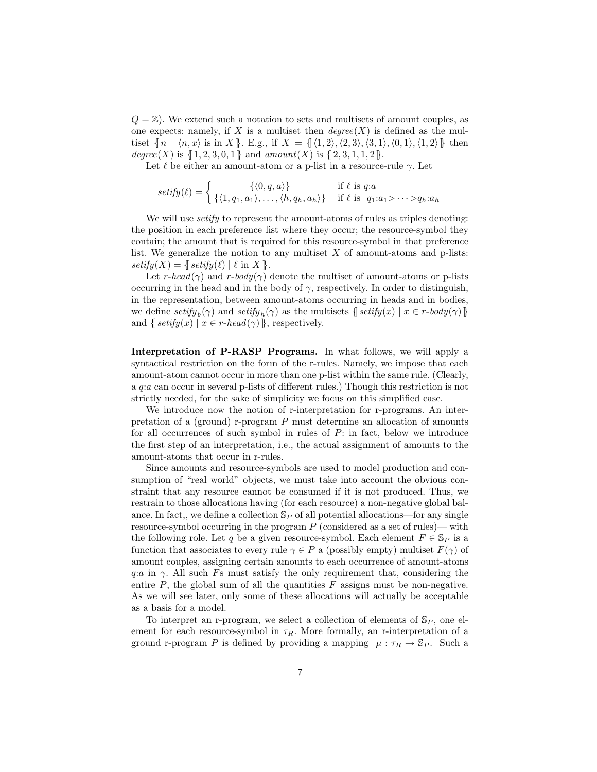$Q = \mathbb{Z}$ . We extend such a notation to sets and multisets of amount couples, as one expects: namely, if X is a multiset then  $degree(X)$  is defined as the multiset  $\{ [ n | \langle n, x \rangle \text{ is in } X \}.$  E.g., if  $X = \{ \langle 1, 2 \rangle, \langle 2, 3 \rangle, \langle 3, 1 \rangle, \langle 0, 1 \rangle, \langle 1, 2 \rangle \}$  then degree(X) is  $\{ [ 1, 2, 3, 0, 1] \}$  and amount(X) is  $\{ [ 2, 3, 1, 1, 2] \}$ .

Let  $\ell$  be either an amount-atom or a p-list in a resource-rule  $\gamma$ . Let

$$
setify(\ell) = \begin{cases} \{ \langle 0, q, a \rangle \} & \text{if } \ell \text{ is } q:a \\ \{ \langle 1, q_1, a_1 \rangle, \dots, \langle h, q_h, a_h \rangle \} & \text{if } \ell \text{ is } q_1:a_1 > \dots > q_h:a_h \end{cases}
$$

We will use *setify* to represent the amount-atoms of rules as triples denoting: the position in each preference list where they occur; the resource-symbol they contain; the amount that is required for this resource-symbol in that preference list. We generalize the notion to any multiset  $X$  of amount-atoms and p-lists:  $\text{setify}(X) = \{\text{setify}(\ell) \mid \ell \text{ in } X \}.$ 

Let r-head( $\gamma$ ) and r-body( $\gamma$ ) denote the multiset of amount-atoms or p-lists occurring in the head and in the body of  $\gamma$ , respectively. In order to distinguish, in the representation, between amount-atoms occurring in heads and in bodies, we define  $\text{setify}_b(\gamma)$  and  $\text{setify}_h(\gamma)$  as the multisets  $\{\text{setify}(x) \mid x \in \text{r-body}(\gamma)\}\$ and  $\{\text{setify}(x) \mid x \in \text{r-head}(\gamma)\}\$ , respectively.

Interpretation of P-RASP Programs. In what follows, we will apply a syntactical restriction on the form of the r-rules. Namely, we impose that each amount-atom cannot occur in more than one p-list within the same rule. (Clearly, a q:a can occur in several p-lists of different rules.) Though this restriction is not strictly needed, for the sake of simplicity we focus on this simplified case.

We introduce now the notion of r-interpretation for r-programs. An interpretation of a (ground) r-program  $P$  must determine an allocation of amounts for all occurrences of such symbol in rules of  $P$ : in fact, below we introduce the first step of an interpretation, i.e., the actual assignment of amounts to the amount-atoms that occur in r-rules.

Since amounts and resource-symbols are used to model production and consumption of "real world" objects, we must take into account the obvious constraint that any resource cannot be consumed if it is not produced. Thus, we restrain to those allocations having (for each resource) a non-negative global balance. In fact,, we define a collection  $\mathbb{S}_P$  of all potential allocations—for any single resource-symbol occurring in the program  $P$  (considered as a set of rules)— with the following role. Let q be a given resource-symbol. Each element  $F \in \mathbb{S}_P$  is a function that associates to every rule  $\gamma \in P$  a (possibly empty) multiset  $F(\gamma)$  of amount couples, assigning certain amounts to each occurrence of amount-atoms q:a in  $\gamma$ . All such Fs must satisfy the only requirement that, considering the entire  $P$ , the global sum of all the quantities  $F$  assigns must be non-negative. As we will see later, only some of these allocations will actually be acceptable as a basis for a model.

To interpret an r-program, we select a collection of elements of  $\mathbb{S}_P$ , one element for each resource-symbol in  $\tau_R$ . More formally, an r-interpretation of a ground r-program P is defined by providing a mapping  $\mu : \tau_R \to \mathbb{S}_P$ . Such a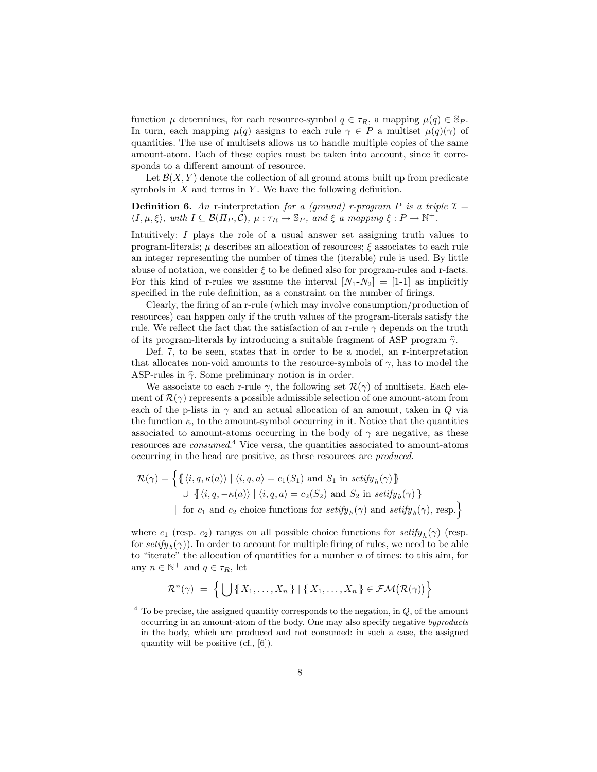function  $\mu$  determines, for each resource-symbol  $q \in \tau_R$ , a mapping  $\mu(q) \in \mathbb{S}_P$ . In turn, each mapping  $\mu(q)$  assigns to each rule  $\gamma \in P$  a multiset  $\mu(q)(\gamma)$  of quantities. The use of multisets allows us to handle multiple copies of the same amount-atom. Each of these copies must be taken into account, since it corresponds to a different amount of resource.

Let  $\mathcal{B}(X, Y)$  denote the collection of all ground atoms built up from predicate symbols in  $X$  and terms in  $Y$ . We have the following definition.

**Definition 6.** An r-interpretation for a (ground) r-program P is a triple  $\mathcal{I} =$  $\langle I, \mu, \xi \rangle$ , with  $I \subseteq \mathcal{B}(\Pi_P, \mathcal{C}), \mu : \tau_R \to \mathbb{S}_P$ , and  $\xi$  a mapping  $\xi : P \to \mathbb{N}^+$ .

Intuitively: I plays the role of a usual answer set assigning truth values to program-literals;  $\mu$  describes an allocation of resources;  $\xi$  associates to each rule an integer representing the number of times the (iterable) rule is used. By little abuse of notation, we consider  $\xi$  to be defined also for program-rules and r-facts. For this kind of r-rules we assume the interval  $[N_1-N_2] = [1-1]$  as implicitly specified in the rule definition, as a constraint on the number of firings.

Clearly, the firing of an r-rule (which may involve consumption/production of resources) can happen only if the truth values of the program-literals satisfy the rule. We reflect the fact that the satisfaction of an r-rule  $\gamma$  depends on the truth of its program-literals by introducing a suitable fragment of ASP program  $\hat{\gamma}$ .

Def. 7, to be seen, states that in order to be a model, an r-interpretation that allocates non-void amounts to the resource-symbols of  $\gamma$ , has to model the ASP-rules in  $\hat{\gamma}$ . Some preliminary notion is in order.

We associate to each r-rule  $\gamma$ , the following set  $\mathcal{R}(\gamma)$  of multisets. Each element of  $\mathcal{R}(\gamma)$  represents a possible admissible selection of one amount-atom from each of the p-lists in  $\gamma$  and an actual allocation of an amount, taken in Q via the function  $\kappa$ , to the amount-symbol occurring in it. Notice that the quantities associated to amount-atoms occurring in the body of  $\gamma$  are negative, as these resources are *consumed.*<sup>4</sup> Vice versa, the quantities associated to amount-atoms occurring in the head are positive, as these resources are produced.

$$
\mathcal{R}(\gamma) = \left\{ \left\{ \left\langle i, q, \kappa(a) \right\rangle \mid \langle i, q, a \rangle = c_1(S_1) \text{ and } S_1 \text{ in } \text{setify}_h(\gamma) \right\} \right\}
$$
  

$$
\cup \left\{ \left\langle i, q, -\kappa(a) \right\rangle \mid \langle i, q, a \rangle = c_2(S_2) \text{ and } S_2 \text{ in } \text{setify}_b(\gamma) \right\}
$$
  

$$
\left\{ \text{ for } c_1 \text{ and } c_2 \text{ choice functions for } \text{setify}_h(\gamma) \text{ and } \text{setify}_b(\gamma), \text{ resp.} \right\}
$$

where  $c_1$  (resp.  $c_2$ ) ranges on all possible choice functions for  $\text{setify}_h(\gamma)$  (resp. for  $\text{setify}_b(\gamma)$ ). In order to account for multiple firing of rules, we need to be able to "iterate" the allocation of quantities for a number  $n$  of times: to this aim, for any  $n \in \mathbb{N}^+$  and  $q \in \tau_R$ , let

$$
\mathcal{R}^n(\gamma) = \left\{ \bigcup \{ \{X_1, \ldots, X_n\} \mid \{ \{X_1, \ldots, X_n\} \} \in \mathcal{FM}(\mathcal{R}(\gamma)) \right\}
$$

 $4$  To be precise, the assigned quantity corresponds to the negation, in  $Q$ , of the amount occurring in an amount-atom of the body. One may also specify negative byproducts in the body, which are produced and not consumed: in such a case, the assigned quantity will be positive (cf., [6]).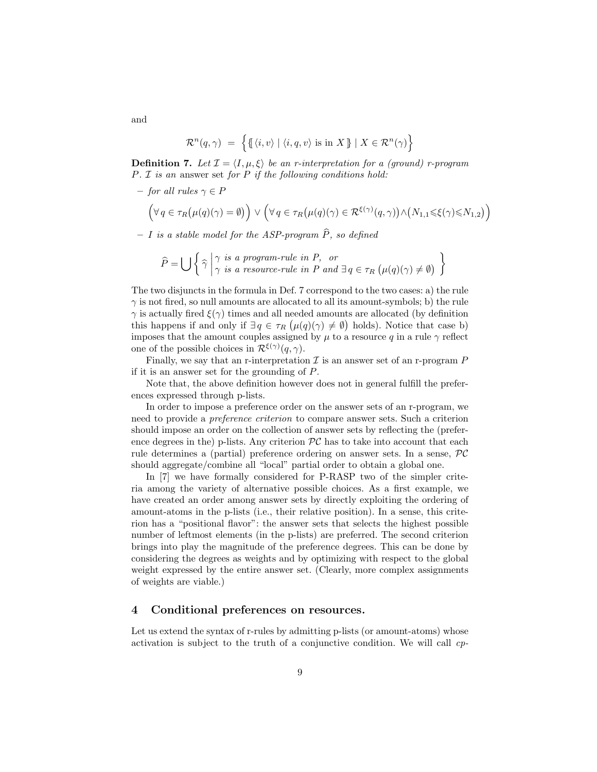$$
\mathcal{R}^n(q,\gamma) = \left\{ \left\{ \left\langle i,v \right\rangle \mid \langle i,q,v \rangle \text{ is in } X \right\} \mid X \in \mathcal{R}^n(\gamma) \right\}
$$

**Definition 7.** Let  $\mathcal{I} = \langle I, \mu, \xi \rangle$  be an r-interpretation for a (ground) r-program  $P. I$  is an answer set for  $P$  if the following conditions hold:

 $-$  for all rules  $\gamma \in P$ 

$$
\Big(\forall\,q\in\tau_{R}\big(\mu(q)(\gamma)=\emptyset\big)\Big)\vee\Big(\forall\,q\in\tau_{R}\big(\mu(q)(\gamma)\in{\cal R}^{\xi(\gamma)}(q,\gamma)\big)\wedge\big(N_{1,1}\leqslant\xi(\gamma)\leqslant N_{1,2}\big)\Big)
$$

 $- I$  is a stable model for the ASP-program  $\hat{P}$ , so defined

$$
\widehat{P} = \bigcup \left\{ \widehat{\gamma} \middle| \begin{matrix} \gamma \text{ is a program-rule in } P, \text{ or} \\ \gamma \text{ is a resource-rule in } P \text{ and } \exists q \in \tau_R \left( \mu(q)(\gamma) \neq \emptyset \right) \end{matrix} \right\}
$$

The two disjuncts in the formula in Def. 7 correspond to the two cases: a) the rule  $\gamma$  is not fired, so null amounts are allocated to all its amount-symbols; b) the rule  $\gamma$  is actually fired  $\xi(\gamma)$  times and all needed amounts are allocated (by definition this happens if and only if  $\exists q \in \tau_R (\mu(q)(\gamma) \neq \emptyset)$  holds). Notice that case b) imposes that the amount couples assigned by  $\mu$  to a resource q in a rule  $\gamma$  reflect one of the possible choices in  $\mathcal{R}^{\xi(\gamma)}(q,\gamma)$ .

Finally, we say that an r-interpretation  $\mathcal I$  is an answer set of an r-program  $P$ if it is an answer set for the grounding of P.

Note that, the above definition however does not in general fulfill the preferences expressed through p-lists.

In order to impose a preference order on the answer sets of an r-program, we need to provide a preference criterion to compare answer sets. Such a criterion should impose an order on the collection of answer sets by reflecting the (preference degrees in the) p-lists. Any criterion  $\mathcal{PC}$  has to take into account that each rule determines a (partial) preference ordering on answer sets. In a sense, PC should aggregate/combine all "local" partial order to obtain a global one.

In [7] we have formally considered for P-RASP two of the simpler criteria among the variety of alternative possible choices. As a first example, we have created an order among answer sets by directly exploiting the ordering of amount-atoms in the p-lists (i.e., their relative position). In a sense, this criterion has a "positional flavor": the answer sets that selects the highest possible number of leftmost elements (in the p-lists) are preferred. The second criterion brings into play the magnitude of the preference degrees. This can be done by considering the degrees as weights and by optimizing with respect to the global weight expressed by the entire answer set. (Clearly, more complex assignments of weights are viable.)

#### 4 Conditional preferences on resources.

Let us extend the syntax of r-rules by admitting p-lists (or amount-atoms) whose activation is subject to the truth of a conjunctive condition. We will call cp-

and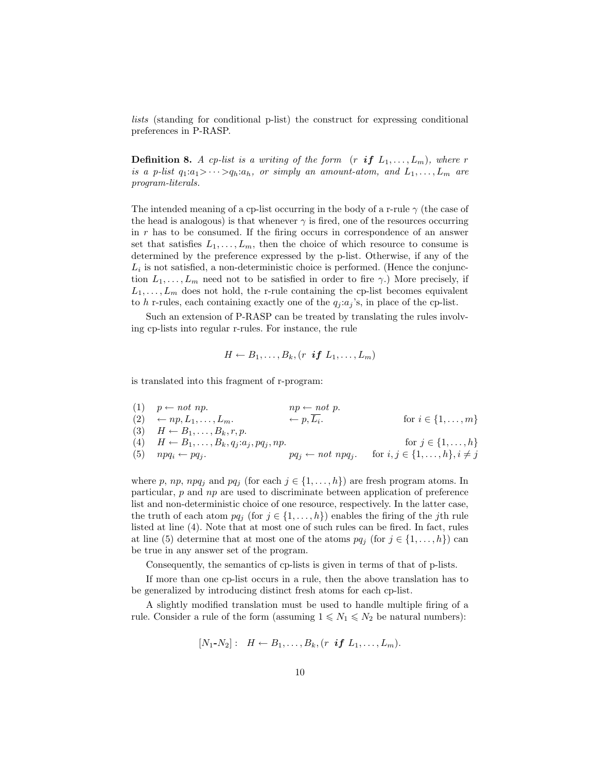lists (standing for conditional p-list) the construct for expressing conditional preferences in P-RASP.

**Definition 8.** A cp-list is a writing of the form  $(r \textbf{ if } L_1, \ldots, L_m)$ , where r is a p-list  $q_1: a_1 > \cdots > q_h: a_h$ , or simply an amount-atom, and  $L_1, \ldots, L_m$  are program-literals.

The intended meaning of a cp-list occurring in the body of a r-rule  $\gamma$  (the case of the head is analogous) is that whenever  $\gamma$  is fired, one of the resources occurring in  $r$  has to be consumed. If the firing occurs in correspondence of an answer set that satisfies  $L_1, \ldots, L_m$ , then the choice of which resource to consume is determined by the preference expressed by the p-list. Otherwise, if any of the  $L_i$  is not satisfied, a non-deterministic choice is performed. (Hence the conjunction  $L_1, \ldots, L_m$  need not to be satisfied in order to fire  $\gamma$ .) More precisely, if  $L_1, \ldots, L_m$  does not hold, the r-rule containing the cp-list becomes equivalent to h r-rules, each containing exactly one of the  $q_i : a_j$ 's, in place of the cp-list.

Such an extension of P-RASP can be treated by translating the rules involving cp-lists into regular r-rules. For instance, the rule

$$
H \leftarrow B_1, \ldots, B_k, (r \text{ if } L_1, \ldots, L_m)
$$

is translated into this fragment of r-program:

(1)  $p \leftarrow not np.$   $np \leftarrow not p.$  $(2) \leftarrow np, L_1, \ldots, L_m.$   $\leftarrow p, L_i.$  for  $i \in \{1, \ldots, m\}$ (3)  $H \leftarrow B_1, \ldots, B_k, r, p.$ (4)  $H \leftarrow B_1, \ldots, B_k, q_j : a_j, pq_j, np.$  for  $j \in \{1, \ldots, h\}$ (5)  $npq_i \leftarrow pq_j$ .  $pq_j \leftarrow not npq_j$  for  $i, j \in \{1, ..., h\}, i \neq j$ 

where p, np, npq<sub>j</sub> and pq<sub>j</sub> (for each  $j \in \{1, ..., h\}$ ) are fresh program atoms. In particular,  $p$  and  $np$  are used to discriminate between application of preference list and non-deterministic choice of one resource, respectively. In the latter case, the truth of each atom  $pq_j$  (for  $j \in \{1, ..., h\}$ ) enables the firing of the jth rule listed at line (4). Note that at most one of such rules can be fired. In fact, rules at line (5) determine that at most one of the atoms  $pq_j$  (for  $j \in \{1, \ldots, h\}$ ) can be true in any answer set of the program.

Consequently, the semantics of cp-lists is given in terms of that of p-lists.

If more than one cp-list occurs in a rule, then the above translation has to be generalized by introducing distinct fresh atoms for each cp-list.

A slightly modified translation must be used to handle multiple firing of a rule. Consider a rule of the form (assuming  $1 \le N_1 \le N_2$  be natural numbers):

$$
[N_1-N_2]: H \leftarrow B_1,\ldots,B_k, (r \text{ if } L_1,\ldots,L_m).
$$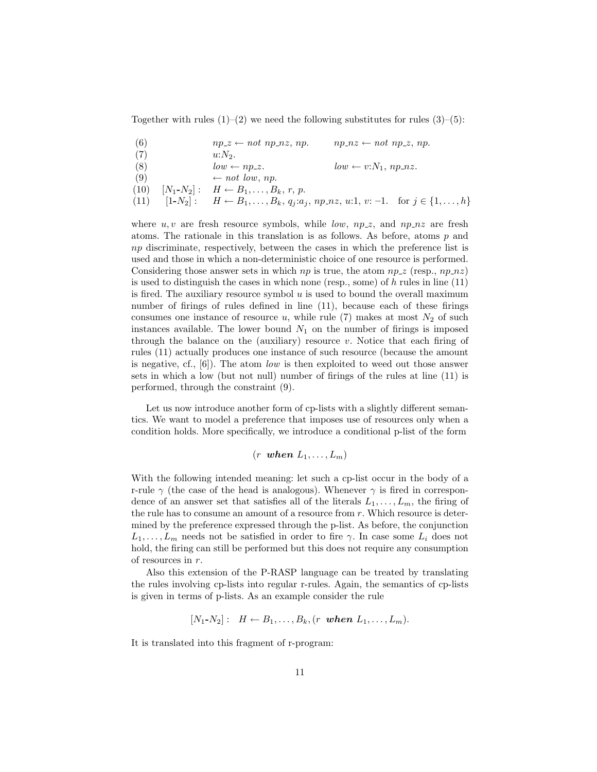Together with rules  $(1)-(2)$  we need the following substitutes for rules  $(3)-(5)$ :

- (6)  $np_z \leftarrow not np_n z, np. \qquad np_n z \leftarrow not np_z, np.$
- (7)  $u: N_2$ .
- (8)  $low \leftarrow np\_z.$   $low \leftarrow v: N_1, np\_nz.$
- (9)  $\leftarrow not low, np.$
- (10)  $[N_1-N_2] : H \leftarrow B_1, \ldots, B_k, r, p.$

$$
(11) \t[1-N_2]: \tH \leftarrow B_1, \ldots, B_k, q_j: a_j, np\_nz, u:1, v: -1. \tfor j \in \{1, \ldots, h\}
$$

where  $u, v$  are fresh resource symbols, while  $low, np.z$ , and  $np_nz$  are fresh atoms. The rationale in this translation is as follows. As before, atoms  $p$  and np discriminate, respectively, between the cases in which the preference list is used and those in which a non-deterministic choice of one resource is performed. Considering those answer sets in which  $np$  is true, the atom  $np_z$  (resp.,  $np_nz$ ) is used to distinguish the cases in which none (resp., some) of  $h$  rules in line  $(11)$ is fired. The auxiliary resource symbol  $u$  is used to bound the overall maximum number of firings of rules defined in line (11), because each of these firings consumes one instance of resource u, while rule  $(7)$  makes at most  $N_2$  of such instances available. The lower bound  $N_1$  on the number of firings is imposed through the balance on the (auxiliary) resource  $v$ . Notice that each firing of rules (11) actually produces one instance of such resource (because the amount is negative, cf., [6]). The atom low is then exploited to weed out those answer sets in which a low (but not null) number of firings of the rules at line (11) is performed, through the constraint (9).

Let us now introduce another form of cp-lists with a slightly different semantics. We want to model a preference that imposes use of resources only when a condition holds. More specifically, we introduce a conditional p-list of the form

$$
(r \text{ when } L_1, \ldots, L_m)
$$

With the following intended meaning: let such a cp-list occur in the body of a r-rule  $\gamma$  (the case of the head is analogous). Whenever  $\gamma$  is fired in correspondence of an answer set that satisfies all of the literals  $L_1, \ldots, L_m$ , the firing of the rule has to consume an amount of a resource from r. Which resource is determined by the preference expressed through the p-list. As before, the conjunction  $L_1, \ldots, L_m$  needs not be satisfied in order to fire  $\gamma$ . In case some  $L_i$  does not hold, the firing can still be performed but this does not require any consumption of resources in r.

Also this extension of the P-RASP language can be treated by translating the rules involving cp-lists into regular r-rules. Again, the semantics of cp-lists is given in terms of p-lists. As an example consider the rule

$$
[N_1-N_2]: H \leftarrow B_1,\ldots,B_k, (r \text{ when } L_1,\ldots,L_m).
$$

It is translated into this fragment of r-program: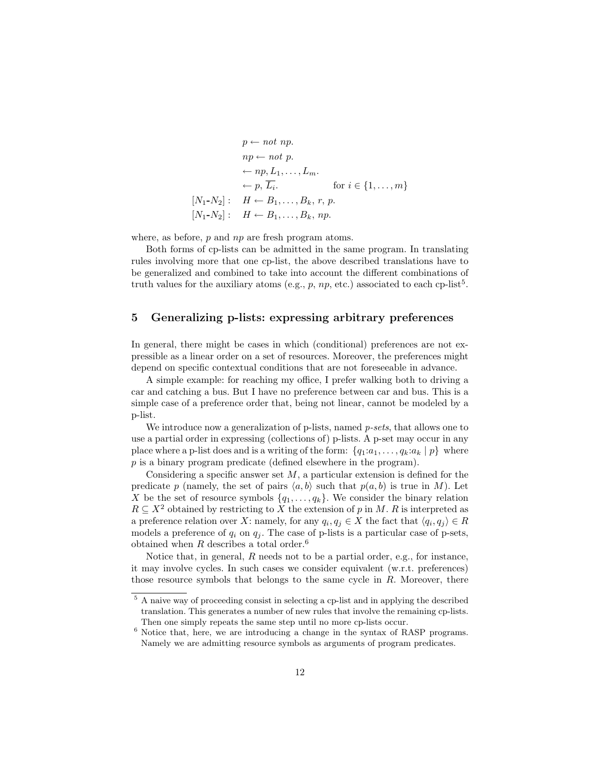$$
p \leftarrow not np.
$$
  
\n
$$
np \leftarrow not p.
$$
  
\n
$$
\leftarrow np, L_1, \dots, L_m.
$$
  
\n
$$
\leftarrow p, \overline{L_i}.
$$
 for  $i \in \{1, \dots, m\}$   
\n
$$
[N_1-N_2]: H \leftarrow B_1, \dots, B_k, r, p.
$$
  
\n
$$
[N_1-N_2]: H \leftarrow B_1, \dots, B_k, np.
$$

where, as before, p and np are fresh program atoms.

Both forms of cp-lists can be admitted in the same program. In translating rules involving more that one cp-list, the above described translations have to be generalized and combined to take into account the different combinations of truth values for the auxiliary atoms (e.g., p, np, etc.) associated to each cp-list<sup>5</sup>.

# 5 Generalizing p-lists: expressing arbitrary preferences

In general, there might be cases in which (conditional) preferences are not expressible as a linear order on a set of resources. Moreover, the preferences might depend on specific contextual conditions that are not foreseeable in advance.

A simple example: for reaching my office, I prefer walking both to driving a car and catching a bus. But I have no preference between car and bus. This is a simple case of a preference order that, being not linear, cannot be modeled by a p-list.

We introduce now a generalization of p-lists, named *p-sets*, that allows one to use a partial order in expressing (collections of) p-lists. A p-set may occur in any place where a p-list does and is a writing of the form:  $\{q_1:a_1,\ldots,q_k:a_k \mid p\}$  where p is a binary program predicate (defined elsewhere in the program).

Considering a specific answer set  $M$ , a particular extension is defined for the predicate p (namely, the set of pairs  $\langle a, b \rangle$  such that  $p(a, b)$  is true in M). Let X be the set of resource symbols  $\{q_1, \ldots, q_k\}$ . We consider the binary relation  $R \subseteq X^2$  obtained by restricting to X the extension of p in M. R is interpreted as a preference relation over X: namely, for any  $q_i, q_j \in X$  the fact that  $\langle q_i, q_j \rangle \in R$ models a preference of  $q_i$  on  $q_j$ . The case of p-lists is a particular case of p-sets, obtained when  $R$  describes a total order.<sup>6</sup>

Notice that, in general,  $R$  needs not to be a partial order, e.g., for instance, it may involve cycles. In such cases we consider equivalent (w.r.t. preferences) those resource symbols that belongs to the same cycle in R. Moreover, there

<sup>5</sup> A naive way of proceeding consist in selecting a cp-list and in applying the described translation. This generates a number of new rules that involve the remaining cp-lists. Then one simply repeats the same step until no more cp-lists occur.

 $6$  Notice that, here, we are introducing a change in the syntax of RASP programs. Namely we are admitting resource symbols as arguments of program predicates.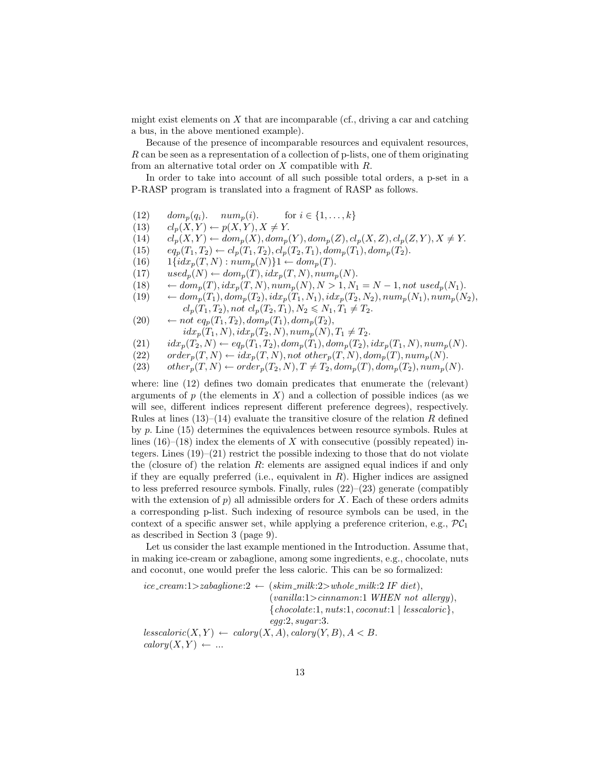might exist elements on  $X$  that are incomparable (cf., driving a car and catching a bus, in the above mentioned example).

Because of the presence of incomparable resources and equivalent resources, R can be seen as a representation of a collection of p-lists, one of them originating from an alternative total order on  $X$  compatible with  $R$ .

In order to take into account of all such possible total orders, a p-set in a P-RASP program is translated into a fragment of RASP as follows.

- (12)  $dom_p(q_i)$ .  $num_p(i)$ . for  $i \in \{1, ..., k\}$
- (13)  $cl_p(X, Y) \leftarrow p(X, Y), X \neq Y.$
- (14)  $cl_p(X, Y) \leftarrow dom_p(X), dom_p(Y), dom_p(Z), cl_p(X, Z), cl_p(Z, Y), X \neq Y.$
- (15)  $eq_p(T_1, T_2) \leftarrow cl_p(T_1, T_2), cl_p(T_2, T_1), dom_p(T_1), dom_p(T_2).$
- (16)  $1\{idx_p(T, N) : num_p(N)\}1 \leftarrow dom_p(T).$
- (17)  $used_p(N) \leftarrow dom_p(T), idx_p(T, N), num_p(N).$
- (18)  $\leftarrow dom_p(T), idx_p(T, N), num_p(N), N > 1, N_1 = N 1, not used_p(N_1).$
- (19)  $\leftarrow dom_p(T_1), dom_p(T_2), idx_p(T_1, N_1), idx_p(T_2, N_2), num_p(N_1), num_p(N_2),$  $cl_p(T_1, T_2)$ , not  $cl_p(T_2, T_1)$ ,  $N_2 \le N_1, T_1 \ne T_2$ .
- (20)  $\leftarrow$  not eq<sub>p</sub>(T<sub>1</sub>, T<sub>2</sub>), dom<sub>p</sub>(T<sub>1</sub>), dom<sub>p</sub>(T<sub>2</sub>),  $idx_p(T_1, N), idx_p(T_2, N), num_p(N), T_1 \neq T_2.$
- (21)  $idx_p(T_2, N) \leftarrow eq_p(T_1, T_2), dom_p(T_1), dom_p(T_2), idx_p(T_1, N), num_p(N).$
- (22) order<sub>p</sub> $(T, N) \leftarrow idx_p(T, N)$ , not other<sub>p</sub> $(T, N)$ , dom<sub>p</sub> $(T)$ , num<sub>p</sub> $(N)$ .
- $(23)$  other<sub>p</sub> $(T, N) \leftarrow order_p(T_2, N), T \neq T_2, dom_p(T), dom_p(T_2), num_p(N).$

where: line (12) defines two domain predicates that enumerate the (relevant) arguments of  $p$  (the elements in  $X$ ) and a collection of possible indices (as we will see, different indices represent different preference degrees), respectively. Rules at lines  $(13)$ – $(14)$  evaluate the transitive closure of the relation R defined by p. Line (15) determines the equivalences between resource symbols. Rules at lines  $(16)$ – $(18)$  index the elements of X with consecutive (possibly repeated) integers. Lines (19)–(21) restrict the possible indexing to those that do not violate the (closure of) the relation  $R$ : elements are assigned equal indices if and only if they are equally preferred (i.e., equivalent in  $R$ ). Higher indices are assigned to less preferred resource symbols. Finally, rules  $(22)$ – $(23)$  generate (compatibly with the extension of  $p$ ) all admissible orders for X. Each of these orders admits a corresponding p-list. Such indexing of resource symbols can be used, in the context of a specific answer set, while applying a preference criterion, e.g.,  $\mathcal{PC}_1$ as described in Section 3 (page 9).

Let us consider the last example mentioned in the Introduction. Assume that, in making ice-cream or zabaglione, among some ingredients, e.g., chocolate, nuts and coconut, one would prefer the less caloric. This can be so formalized:

 $ice\_cream:1\geq zabaqlione:2 \leftarrow (skim\_milk:2\geq whole\_milk:2 IF\; diet),$  $(vanilla:1>cinnamon:1 \text{ } WHEREN \text{ } not \text{ } allergy),$  ${chocolate:}1, nuts:1, cocomut:1 | less caloric$ ,  $egg:2, sugar:3.$  $less caloric(X, Y) \leftarrow calory(X, A), calory(Y, B), A < B.$  $calory(X, Y) \leftarrow ...$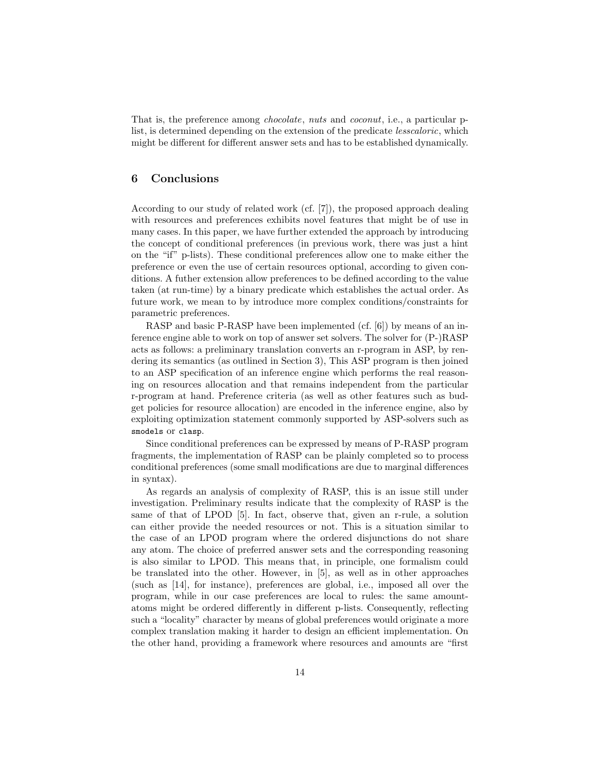That is, the preference among chocolate, nuts and coconut, i.e., a particular plist, is determined depending on the extension of the predicate lesscaloric, which might be different for different answer sets and has to be established dynamically.

# 6 Conclusions

According to our study of related work (cf. [7]), the proposed approach dealing with resources and preferences exhibits novel features that might be of use in many cases. In this paper, we have further extended the approach by introducing the concept of conditional preferences (in previous work, there was just a hint on the "if" p-lists). These conditional preferences allow one to make either the preference or even the use of certain resources optional, according to given conditions. A futher extension allow preferences to be defined according to the value taken (at run-time) by a binary predicate which establishes the actual order. As future work, we mean to by introduce more complex conditions/constraints for parametric preferences.

RASP and basic P-RASP have been implemented (cf. [6]) by means of an inference engine able to work on top of answer set solvers. The solver for (P-)RASP acts as follows: a preliminary translation converts an r-program in ASP, by rendering its semantics (as outlined in Section 3), This ASP program is then joined to an ASP specification of an inference engine which performs the real reasoning on resources allocation and that remains independent from the particular r-program at hand. Preference criteria (as well as other features such as budget policies for resource allocation) are encoded in the inference engine, also by exploiting optimization statement commonly supported by ASP-solvers such as smodels or clasp.

Since conditional preferences can be expressed by means of P-RASP program fragments, the implementation of RASP can be plainly completed so to process conditional preferences (some small modifications are due to marginal differences in syntax).

As regards an analysis of complexity of RASP, this is an issue still under investigation. Preliminary results indicate that the complexity of RASP is the same of that of LPOD [5]. In fact, observe that, given an r-rule, a solution can either provide the needed resources or not. This is a situation similar to the case of an LPOD program where the ordered disjunctions do not share any atom. The choice of preferred answer sets and the corresponding reasoning is also similar to LPOD. This means that, in principle, one formalism could be translated into the other. However, in [5], as well as in other approaches (such as [14], for instance), preferences are global, i.e., imposed all over the program, while in our case preferences are local to rules: the same amountatoms might be ordered differently in different p-lists. Consequently, reflecting such a "locality" character by means of global preferences would originate a more complex translation making it harder to design an efficient implementation. On the other hand, providing a framework where resources and amounts are "first